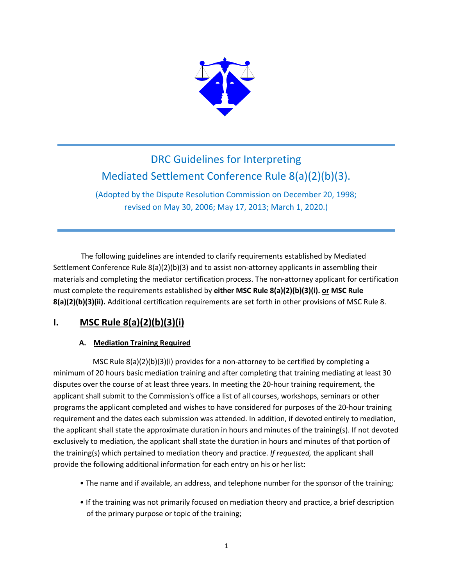

# DRC Guidelines for Interpreting Mediated Settlement Conference Rule 8(a)(2)(b)(3).

(Adopted by the Dispute Resolution Commission on December 20, 1998; revised on May 30, 2006; May 17, 2013; March 1, 2020.)

 The following guidelines are intended to clarify requirements established by Mediated Settlement Conference Rule 8(a)(2)(b)(3) and to assist non-attorney applicants in assembling their materials and completing the mediator certification process. The non-attorney applicant for certification must complete the requirements established by **either MSC Rule 8(a)(2)(b)(3)(i). or MSC Rule 8(a)(2)(b)(3)(ii).** Additional certification requirements are set forth in other provisions of MSC Rule 8.

## **I. MSC Rule 8(a)(2)(b)(3)(i)**

### **A. Mediation Training Required**

 MSC Rule 8(a)(2)(b)(3)(i) provides for a non-attorney to be certified by completing a minimum of 20 hours basic mediation training and after completing that training mediating at least 30 disputes over the course of at least three years. In meeting the 20-hour training requirement, the applicant shall submit to the Commission's office a list of all courses, workshops, seminars or other programs the applicant completed and wishes to have considered for purposes of the 20-hour training requirement and the dates each submission was attended. In addition, if devoted entirely to mediation, the applicant shall state the approximate duration in hours and minutes of the training(s). If not devoted exclusively to mediation, the applicant shall state the duration in hours and minutes of that portion of the training(s) which pertained to mediation theory and practice. *If requested,* the applicant shall provide the following additional information for each entry on his or her list:

- The name and if available, an address, and telephone number for the sponsor of the training;
- If the training was not primarily focused on mediation theory and practice, a brief description of the primary purpose or topic of the training;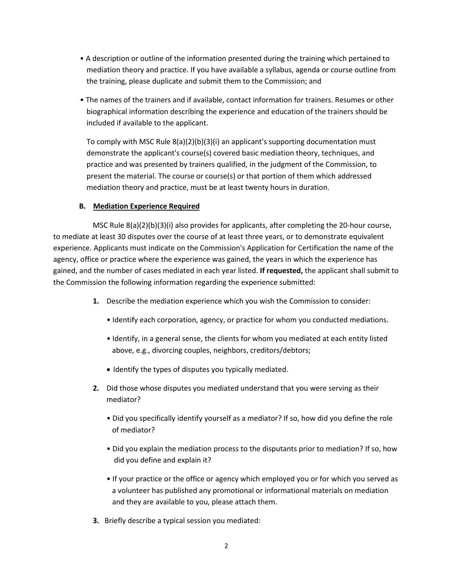- A description or outline of the information presented during the training which pertained to mediation theory and practice. If you have available a syllabus, agenda or course outline from the training, please duplicate and submit them to the Commission; and
- The names of the trainers and if available, contact information for trainers. Resumes or other biographical information describing the experience and education of the trainers should be included if available to the applicant.

To comply with MSC Rule 8(a)(2)(b)(3)(i) an applicant's supporting documentation must demonstrate the applicant's course(s) covered basic mediation theory, techniques, and practice and was presented by trainers qualified, in the judgment of the Commission, to present the material. The course or course(s) or that portion of them which addressed mediation theory and practice, must be at least twenty hours in duration.

#### **B. Mediation Experience Required**

 MSC Rule 8(a)(2)(b)(3)(i) also provides for applicants, after completing the 20-hour course, to mediate at least 30 disputes over the course of at least three years, or to demonstrate equivalent experience. Applicants must indicate on the Commission's Application for Certification the name of the agency, office or practice where the experience was gained, the years in which the experience has gained, and the number of cases mediated in each year listed. **If requested,** the applicant shall submit to the Commission the following information regarding the experience submitted:

- **1.** Describe the mediation experience which you wish the Commission to consider:
	- Identify each corporation, agency, or practice for whom you conducted mediations.
	- Identify, in a general sense, the clients for whom you mediated at each entity listed above, e.g., divorcing couples, neighbors, creditors/debtors;
	- Identify the types of disputes you typically mediated.
- **2.** Did those whose disputes you mediated understand that you were serving as their mediator?
	- Did you specifically identify yourself as a mediator? If so, how did you define the role of mediator?
	- Did you explain the mediation process to the disputants prior to mediation? If so, how did you define and explain it?
	- If your practice or the office or agency which employed you or for which you served as a volunteer has published any promotional or informational materials on mediation and they are available to you, please attach them.
- **3.** Briefly describe a typical session you mediated: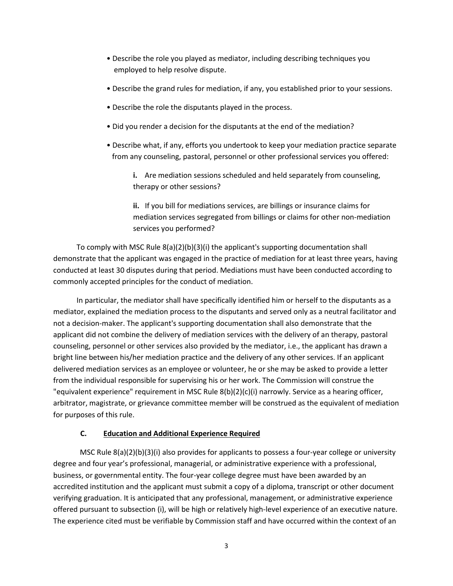- Describe the role you played as mediator, including describing techniques you employed to help resolve dispute.
- Describe the grand rules for mediation, if any, you established prior to your sessions.
- Describe the role the disputants played in the process.
- Did you render a decision for the disputants at the end of the mediation?
- Describe what, if any, efforts you undertook to keep your mediation practice separate from any counseling, pastoral, personnel or other professional services you offered:

**i.** Are mediation sessions scheduled and held separately from counseling, therapy or other sessions?

**ii.** If you bill for mediations services, are billings or insurance claims for mediation services segregated from billings or claims for other non-mediation services you performed?

To comply with MSC Rule 8(a)(2)(b)(3)(i) the applicant's supporting documentation shall demonstrate that the applicant was engaged in the practice of mediation for at least three years, having conducted at least 30 disputes during that period. Mediations must have been conducted according to commonly accepted principles for the conduct of mediation.

In particular, the mediator shall have specifically identified him or herself to the disputants as a mediator, explained the mediation process to the disputants and served only as a neutral facilitator and not a decision-maker. The applicant's supporting documentation shall also demonstrate that the applicant did not combine the delivery of mediation services with the delivery of an therapy, pastoral counseling, personnel or other services also provided by the mediator, i.e., the applicant has drawn a bright line between his/her mediation practice and the delivery of any other services. If an applicant delivered mediation services as an employee or volunteer, he or she may be asked to provide a letter from the individual responsible for supervising his or her work. The Commission will construe the "equivalent experience" requirement in MSC Rule 8(b)(2)(c)(i) narrowly. Service as a hearing officer, arbitrator, magistrate, or grievance committee member will be construed as the equivalent of mediation for purposes of this rule.

#### **C. Education and Additional Experience Required**

MSC Rule 8(a)(2)(b)(3)(i) also provides for applicants to possess a four-year college or university degree and four year's professional, managerial, or administrative experience with a professional, business, or governmental entity. The four-year college degree must have been awarded by an accredited institution and the applicant must submit a copy of a diploma, transcript or other document verifying graduation. It is anticipated that any professional, management, or administrative experience offered pursuant to subsection (i), will be high or relatively high-level experience of an executive nature. The experience cited must be verifiable by Commission staff and have occurred within the context of an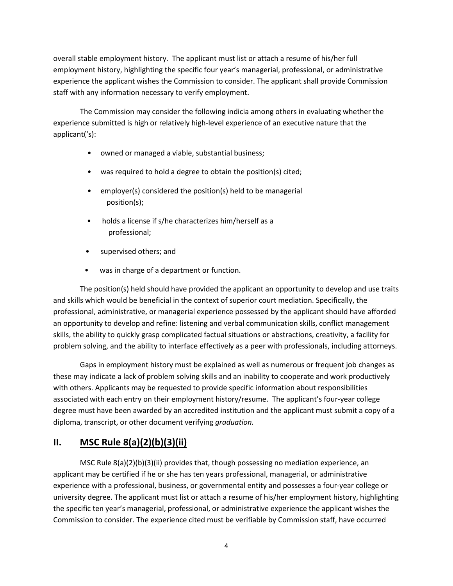overall stable employment history. The applicant must list or attach a resume of his/her full employment history, highlighting the specific four year's managerial, professional, or administrative experience the applicant wishes the Commission to consider. The applicant shall provide Commission staff with any information necessary to verify employment.

The Commission may consider the following indicia among others in evaluating whether the experience submitted is high or relatively high-level experience of an executive nature that the applicant('s):

- owned or managed a viable, substantial business;
- was required to hold a degree to obtain the position(s) cited;
- employer(s) considered the position(s) held to be managerial position(s);
- holds a license if s/he characterizes him/herself as a professional;
- supervised others; and
- was in charge of a department or function.

The position(s) held should have provided the applicant an opportunity to develop and use traits and skills which would be beneficial in the context of superior court mediation. Specifically, the professional, administrative, or managerial experience possessed by the applicant should have afforded an opportunity to develop and refine: listening and verbal communication skills, conflict management skills, the ability to quickly grasp complicated factual situations or abstractions, creativity, a facility for problem solving, and the ability to interface effectively as a peer with professionals, including attorneys.

Gaps in employment history must be explained as well as numerous or frequent job changes as these may indicate a lack of problem solving skills and an inability to cooperate and work productively with others. Applicants may be requested to provide specific information about responsibilities associated with each entry on their employment history/resume. The applicant's four-year college degree must have been awarded by an accredited institution and the applicant must submit a copy of a diploma, transcript, or other document verifying *graduation.*

## **II. MSC Rule 8(a)(2)(b)(3)(ii)**

MSC Rule 8(a)(2)(b)(3)(ii) provides that, though possessing no mediation experience, an applicant may be certified if he or she has ten years professional, managerial, or administrative experience with a professional, business, or governmental entity and possesses a four-year college or university degree. The applicant must list or attach a resume of his/her employment history, highlighting the specific ten year's managerial, professional, or administrative experience the applicant wishes the Commission to consider. The experience cited must be verifiable by Commission staff, have occurred